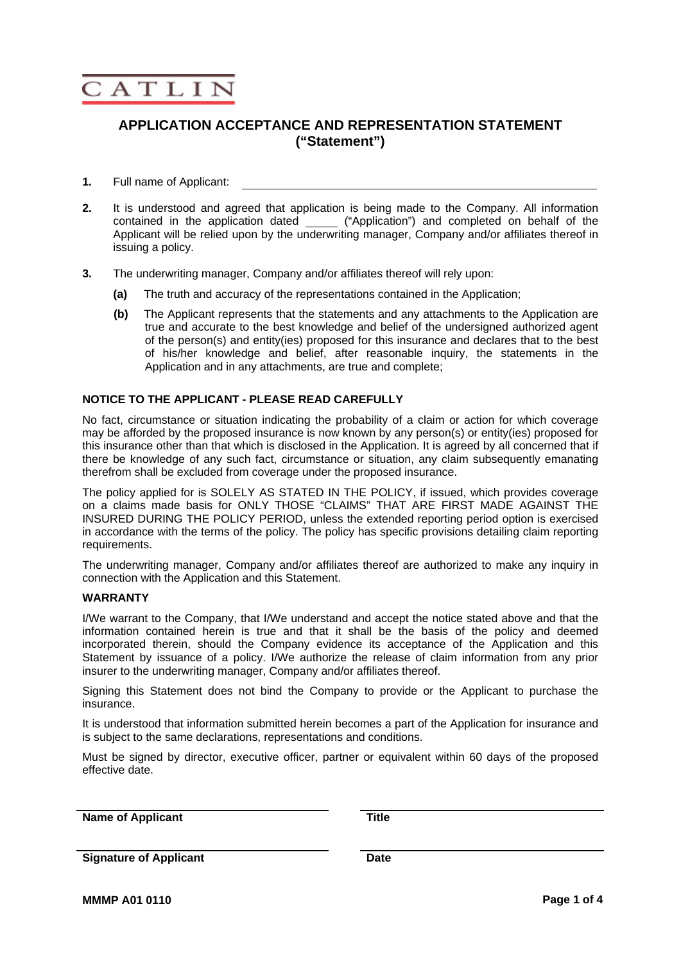

## **APPLICATION ACCEPTANCE AND REPRESENTATION STATEMENT ("Statement")**

#### **1.** Full name of Applicant:

- **2.** It is understood and agreed that application is being made to the Company. All information contained in the application dated ("Application") and completed on behalf of the Applicant will be relied upon by the underwriting manager, Company and/or affiliates thereof in issuing a policy.
- **3.** The underwriting manager, Company and/or affiliates thereof will rely upon:
	- **(a)** The truth and accuracy of the representations contained in the Application;
	- **(b)** The Applicant represents that the statements and any attachments to the Application are true and accurate to the best knowledge and belief of the undersigned authorized agent of the person(s) and entity(ies) proposed for this insurance and declares that to the best of his/her knowledge and belief, after reasonable inquiry, the statements in the Application and in any attachments, are true and complete;

#### **NOTICE TO THE APPLICANT - PLEASE READ CAREFULLY**

No fact, circumstance or situation indicating the probability of a claim or action for which coverage may be afforded by the proposed insurance is now known by any person(s) or entity(ies) proposed for this insurance other than that which is disclosed in the Application. It is agreed by all concerned that if there be knowledge of any such fact, circumstance or situation, any claim subsequently emanating therefrom shall be excluded from coverage under the proposed insurance.

The policy applied for is SOLELY AS STATED IN THE POLICY, if issued, which provides coverage on a claims made basis for ONLY THOSE "CLAIMS" THAT ARE FIRST MADE AGAINST THE INSURED DURING THE POLICY PERIOD, unless the extended reporting period option is exercised in accordance with the terms of the policy. The policy has specific provisions detailing claim reporting requirements.

The underwriting manager, Company and/or affiliates thereof are authorized to make any inquiry in connection with the Application and this Statement.

#### **WARRANTY**

I/We warrant to the Company, that I/We understand and accept the notice stated above and that the information contained herein is true and that it shall be the basis of the policy and deemed incorporated therein, should the Company evidence its acceptance of the Application and this Statement by issuance of a policy. I/We authorize the release of claim information from any prior insurer to the underwriting manager, Company and/or affiliates thereof.

Signing this Statement does not bind the Company to provide or the Applicant to purchase the insurance.

It is understood that information submitted herein becomes a part of the Application for insurance and is subject to the same declarations, representations and conditions.

Must be signed by director, executive officer, partner or equivalent within 60 days of the proposed effective date.

**Name of Applicant Title 75 Title** 

**Signature of Applicant Date**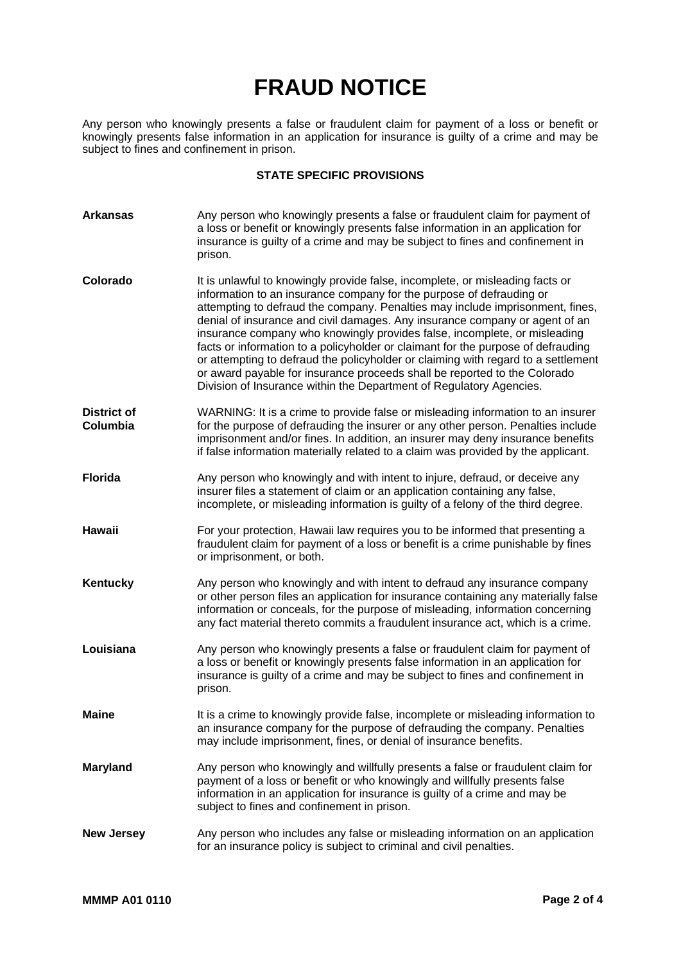# **FRAUD NOTICE**

Any person who knowingly presents a false or fraudulent claim for payment of a loss or benefit or knowingly presents false information in an application for insurance is guilty of a crime and may be subject to fines and confinement in prison.

### **STATE SPECIFIC PROVISIONS**

| <b>Arkansas</b>                | Any person who knowingly presents a false or fraudulent claim for payment of<br>a loss or benefit or knowingly presents false information in an application for<br>insurance is guilty of a crime and may be subject to fines and confinement in<br>prison.                                                                                                                                                                                                                                                                                                                                                                                                                                                                     |
|--------------------------------|---------------------------------------------------------------------------------------------------------------------------------------------------------------------------------------------------------------------------------------------------------------------------------------------------------------------------------------------------------------------------------------------------------------------------------------------------------------------------------------------------------------------------------------------------------------------------------------------------------------------------------------------------------------------------------------------------------------------------------|
| Colorado                       | It is unlawful to knowingly provide false, incomplete, or misleading facts or<br>information to an insurance company for the purpose of defrauding or<br>attempting to defraud the company. Penalties may include imprisonment, fines,<br>denial of insurance and civil damages. Any insurance company or agent of an<br>insurance company who knowingly provides false, incomplete, or misleading<br>facts or information to a policyholder or claimant for the purpose of defrauding<br>or attempting to defraud the policyholder or claiming with regard to a settlement<br>or award payable for insurance proceeds shall be reported to the Colorado<br>Division of Insurance within the Department of Regulatory Agencies. |
| <b>District of</b><br>Columbia | WARNING: It is a crime to provide false or misleading information to an insurer<br>for the purpose of defrauding the insurer or any other person. Penalties include<br>imprisonment and/or fines. In addition, an insurer may deny insurance benefits<br>if false information materially related to a claim was provided by the applicant.                                                                                                                                                                                                                                                                                                                                                                                      |
| <b>Florida</b>                 | Any person who knowingly and with intent to injure, defraud, or deceive any<br>insurer files a statement of claim or an application containing any false,<br>incomplete, or misleading information is guilty of a felony of the third degree.                                                                                                                                                                                                                                                                                                                                                                                                                                                                                   |
| Hawaii                         | For your protection, Hawaii law requires you to be informed that presenting a<br>fraudulent claim for payment of a loss or benefit is a crime punishable by fines<br>or imprisonment, or both.                                                                                                                                                                                                                                                                                                                                                                                                                                                                                                                                  |
| Kentucky                       | Any person who knowingly and with intent to defraud any insurance company<br>or other person files an application for insurance containing any materially false<br>information or conceals, for the purpose of misleading, information concerning<br>any fact material thereto commits a fraudulent insurance act, which is a crime.                                                                                                                                                                                                                                                                                                                                                                                            |
| Louisiana                      | Any person who knowingly presents a false or fraudulent claim for payment of<br>a loss or benefit or knowingly presents false information in an application for<br>insurance is guilty of a crime and may be subject to fines and confinement in<br>prison.                                                                                                                                                                                                                                                                                                                                                                                                                                                                     |
| <b>Maine</b>                   | It is a crime to knowingly provide false, incomplete or misleading information to<br>an insurance company for the purpose of defrauding the company. Penalties<br>may include imprisonment, fines, or denial of insurance benefits.                                                                                                                                                                                                                                                                                                                                                                                                                                                                                             |
| <b>Maryland</b>                | Any person who knowingly and willfully presents a false or fraudulent claim for<br>payment of a loss or benefit or who knowingly and willfully presents false<br>information in an application for insurance is guilty of a crime and may be<br>subject to fines and confinement in prison.                                                                                                                                                                                                                                                                                                                                                                                                                                     |
| <b>New Jersey</b>              | Any person who includes any false or misleading information on an application<br>for an insurance policy is subject to criminal and civil penalties.                                                                                                                                                                                                                                                                                                                                                                                                                                                                                                                                                                            |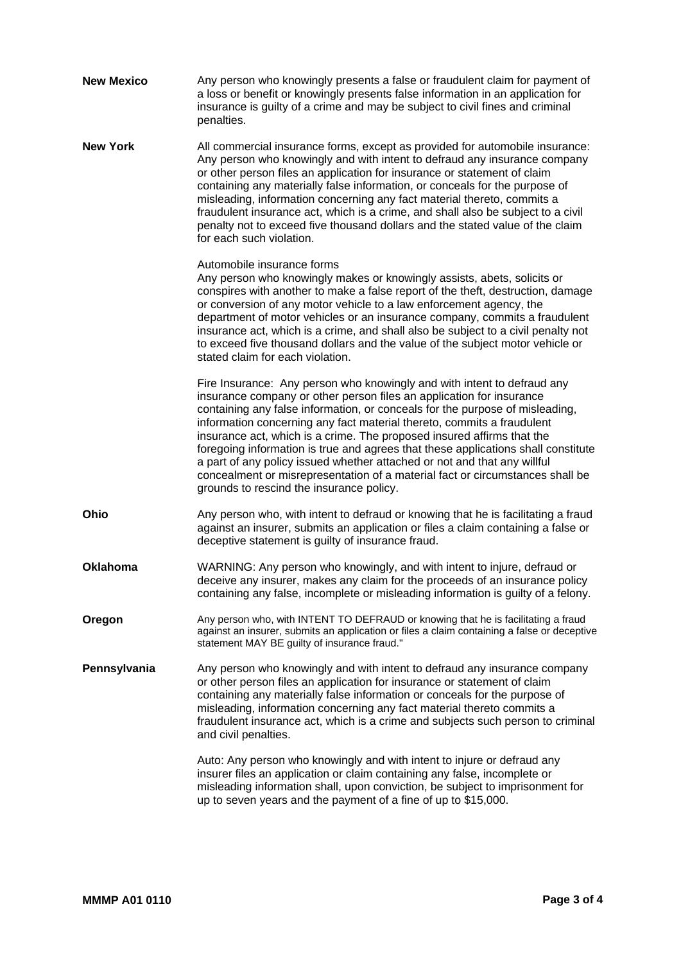| <b>New Mexico</b> | Any person who knowingly presents a false or fraudulent claim for payment of<br>a loss or benefit or knowingly presents false information in an application for<br>insurance is guilty of a crime and may be subject to civil fines and criminal<br>penalties.                                                                                                                                                                                                                                                                                                                                                                                                                    |
|-------------------|-----------------------------------------------------------------------------------------------------------------------------------------------------------------------------------------------------------------------------------------------------------------------------------------------------------------------------------------------------------------------------------------------------------------------------------------------------------------------------------------------------------------------------------------------------------------------------------------------------------------------------------------------------------------------------------|
| <b>New York</b>   | All commercial insurance forms, except as provided for automobile insurance:<br>Any person who knowingly and with intent to defraud any insurance company<br>or other person files an application for insurance or statement of claim<br>containing any materially false information, or conceals for the purpose of<br>misleading, information concerning any fact material thereto, commits a<br>fraudulent insurance act, which is a crime, and shall also be subject to a civil<br>penalty not to exceed five thousand dollars and the stated value of the claim<br>for each such violation.                                                                                  |
|                   | Automobile insurance forms<br>Any person who knowingly makes or knowingly assists, abets, solicits or<br>conspires with another to make a false report of the theft, destruction, damage<br>or conversion of any motor vehicle to a law enforcement agency, the<br>department of motor vehicles or an insurance company, commits a fraudulent<br>insurance act, which is a crime, and shall also be subject to a civil penalty not<br>to exceed five thousand dollars and the value of the subject motor vehicle or<br>stated claim for each violation.                                                                                                                           |
|                   | Fire Insurance: Any person who knowingly and with intent to defraud any<br>insurance company or other person files an application for insurance<br>containing any false information, or conceals for the purpose of misleading,<br>information concerning any fact material thereto, commits a fraudulent<br>insurance act, which is a crime. The proposed insured affirms that the<br>foregoing information is true and agrees that these applications shall constitute<br>a part of any policy issued whether attached or not and that any willful<br>concealment or misrepresentation of a material fact or circumstances shall be<br>grounds to rescind the insurance policy. |
| Ohio              | Any person who, with intent to defraud or knowing that he is facilitating a fraud<br>against an insurer, submits an application or files a claim containing a false or<br>deceptive statement is guilty of insurance fraud.                                                                                                                                                                                                                                                                                                                                                                                                                                                       |
| <b>Oklahoma</b>   | WARNING: Any person who knowingly, and with intent to injure, defraud or<br>deceive any insurer, makes any claim for the proceeds of an insurance policy<br>containing any false, incomplete or misleading information is guilty of a felony.                                                                                                                                                                                                                                                                                                                                                                                                                                     |
| Oregon            | Any person who, with INTENT TO DEFRAUD or knowing that he is facilitating a fraud<br>against an insurer, submits an application or files a claim containing a false or deceptive<br>statement MAY BE guilty of insurance fraud."                                                                                                                                                                                                                                                                                                                                                                                                                                                  |
| Pennsylvania      | Any person who knowingly and with intent to defraud any insurance company<br>or other person files an application for insurance or statement of claim<br>containing any materially false information or conceals for the purpose of<br>misleading, information concerning any fact material thereto commits a<br>fraudulent insurance act, which is a crime and subjects such person to criminal<br>and civil penalties.                                                                                                                                                                                                                                                          |
|                   | Auto: Any person who knowingly and with intent to injure or defraud any<br>insurer files an application or claim containing any false, incomplete or<br>misleading information shall, upon conviction, be subject to imprisonment for<br>up to seven years and the payment of a fine of up to \$15,000.                                                                                                                                                                                                                                                                                                                                                                           |